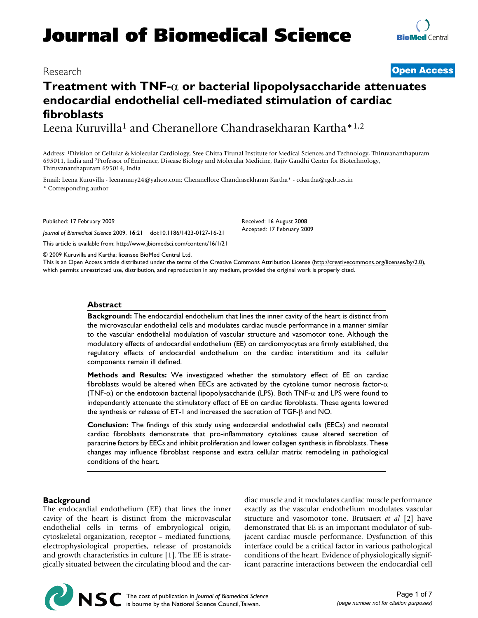# **Journal of Biomedical Science**

## **Treatment with TNF-**α **or bacterial lipopolysaccharide attenuates endocardial endothelial cell-mediated stimulation of cardiac fibroblasts**

Leena Kuruvilla<sup>1</sup> and Cheranellore Chandrasekharan Kartha<sup>\*1,2</sup>

Research **[Open Access](http://www.biomedcentral.com/info/about/charter/)**

**[BioMed](http://www.biomedcentral.com/)** Central

Address: 1Division of Cellular & Molecular Cardiology, Sree Chitra Tirunal Institute for Medical Sciences and Technology, Thiruvananthapuram 695011, India and 2Professor of Eminence, Disease Biology and Molecular Medicine, Rajiv Gandhi Center for Biotechnology, Thiruvananthapuram 695014, India

Email: Leena Kuruvilla - leenamary24@yahoo.com; Cheranellore Chandrasekharan Kartha\* - cckartha@rgcb.res.in \* Corresponding author

Published: 17 February 2009

*Journal of Biomedical Science* 2009, **16**:21 doi:10.1186/1423-0127-16-21

[This article is available from: http://www.jbiomedsci.com/content/16/1/21](http://www.jbiomedsci.com/content/16/1/21)

© 2009 Kuruvilla and Kartha; licensee BioMed Central Ltd.

This is an Open Access article distributed under the terms of the Creative Commons Attribution License [\(http://creativecommons.org/licenses/by/2.0\)](http://creativecommons.org/licenses/by/2.0), which permits unrestricted use, distribution, and reproduction in any medium, provided the original work is properly cited.

Received: 16 August 2008 Accepted: 17 February 2009

#### **Abstract**

**Background:** The endocardial endothelium that lines the inner cavity of the heart is distinct from the microvascular endothelial cells and modulates cardiac muscle performance in a manner similar to the vascular endothelial modulation of vascular structure and vasomotor tone. Although the modulatory effects of endocardial endothelium (EE) on cardiomyocytes are firmly established, the regulatory effects of endocardial endothelium on the cardiac interstitium and its cellular components remain ill defined.

**Methods and Results:** We investigated whether the stimulatory effect of EE on cardiac fibroblasts would be altered when EECs are activated by the cytokine tumor necrosis factor- $\alpha$ (TNF- $\alpha$ ) or the endotoxin bacterial lipopolysaccharide (LPS). Both TNF- $\alpha$  and LPS were found to independently attenuate the stimulatory effect of EE on cardiac fibroblasts. These agents lowered the synthesis or release of ET-1 and increased the secretion of TGF-β and NO.

**Conclusion:** The findings of this study using endocardial endothelial cells (EECs) and neonatal cardiac fibroblasts demonstrate that pro-inflammatory cytokines cause altered secretion of paracrine factors by EECs and inhibit proliferation and lower collagen synthesis in fibroblasts. These changes may influence fibroblast response and extra cellular matrix remodeling in pathological conditions of the heart.

#### **Background**

The endocardial endothelium (EE) that lines the inner cavity of the heart is distinct from the microvascular endothelial cells in terms of embryological origin, cytoskeletal organization, receptor – mediated functions, electrophysiological properties, release of prostanoids and growth characteristics in culture [1]. The EE is strategically situated between the circulating blood and the cardiac muscle and it modulates cardiac muscle performance exactly as the vascular endothelium modulates vascular structure and vasomotor tone. Brutsaert *et al* [2] have demonstrated that EE is an important modulator of subjacent cardiac muscle performance. Dysfunction of this interface could be a critical factor in various pathological conditions of the heart. Evidence of physiologically significant paracrine interactions between the endocardial cell

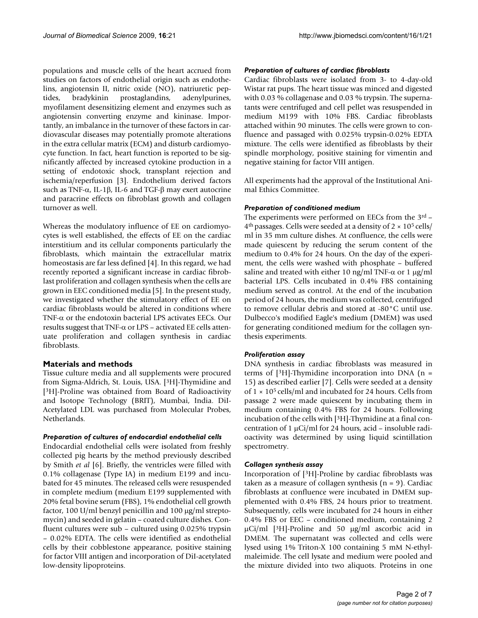populations and muscle cells of the heart accrued from studies on factors of endothelial origin such as endothelins, angiotensin II, nitric oxide (NO), natriuretic peptides, bradykinin prostaglandins, adenylpurines, myofilament desensitizing element and enzymes such as angiotensin converting enzyme and kininase. Importantly, an imbalance in the turnover of these factors in cardiovascular diseases may potentially promote alterations in the extra cellular matrix (ECM) and disturb cardiomyocyte function. In fact, heart function is reported to be significantly affected by increased cytokine production in a setting of endotoxic shock, transplant rejection and ischemia/reperfusion [3]. Endothelium derived factors such as TNF-α, IL-1β, IL-6 and TGF-β may exert autocrine and paracrine effects on fibroblast growth and collagen turnover as well.

Whereas the modulatory influence of EE on cardiomyocytes is well established, the effects of EE on the cardiac interstitium and its cellular components particularly the fibroblasts, which maintain the extracellular matrix homeostasis are far less defined [4]. In this regard, we had recently reported a significant increase in cardiac fibroblast proliferation and collagen synthesis when the cells are grown in EEC conditioned media [5]. In the present study, we investigated whether the stimulatory effect of EE on cardiac fibroblasts would be altered in conditions where TNF-α or the endotoxin bacterial LPS activates EECs. Our results suggest that TNF-α or LPS – activated EE cells attenuate proliferation and collagen synthesis in cardiac fibroblasts.

### **Materials and methods**

Tissue culture media and all supplements were procured from Sigma-Aldrich, St. Louis, USA. [3H]-Thymidine and [3H]-Proline was obtained from Board of Radioactivity and Isotope Technology (BRIT), Mumbai, India. DiI-Acetylated LDL was purchased from Molecular Probes, Netherlands.

#### *Preparation of cultures of endocardial endothelial cells*

Endocardial endothelial cells were isolated from freshly collected pig hearts by the method previously described by Smith *et al* [6]. Briefly, the ventricles were filled with 0.1% collagenase (Type IA) in medium E199 and incubated for 45 minutes. The released cells were resuspended in complete medium (medium E199 supplemented with 20% fetal bovine serum (FBS), 1% endothelial cell growth factor, 100 U/ml benzyl penicillin and 100 μg/ml streptomycin) and seeded in gelatin – coated culture dishes. Confluent cultures were sub – cultured using 0.025% trypsin – 0.02% EDTA. The cells were identified as endothelial cells by their cobblestone appearance, positive staining for factor VIII antigen and incorporation of DiI-acetylated low-density lipoproteins.

#### *Preparation of cultures of cardiac fibroblasts*

Cardiac fibroblasts were isolated from 3- to 4-day-old Wistar rat pups. The heart tissue was minced and digested with 0.03 % collagenase and 0.03 % trypsin. The supernatants were centrifuged and cell pellet was resuspended in medium M199 with 10% FBS. Cardiac fibroblasts attached within 90 minutes. The cells were grown to confluence and passaged with 0.025% trypsin-0.02% EDTA mixture. The cells were identified as fibroblasts by their spindle morphology, positive staining for vimentin and negative staining for factor VIII antigen.

All experiments had the approval of the Institutional Animal Ethics Committee.

#### *Preparation of conditioned medium*

The experiments were performed on EECs from the 3rd –  $4<sup>th</sup>$  passages. Cells were seeded at a density of  $2 \times 10<sup>5</sup>$  cells/ ml in 35 mm culture dishes. At confluence, the cells were made quiescent by reducing the serum content of the medium to 0.4% for 24 hours. On the day of the experiment, the cells were washed with phosphate – buffered saline and treated with either 10 ng/ml TNF- $\alpha$  or 1  $\mu$ g/ml bacterial LPS. Cells incubated in 0.4% FBS containing medium served as control. At the end of the incubation period of 24 hours, the medium was collected, centrifuged to remove cellular debris and stored at -80°C until use. Dulbecco's modified Eagle's medium (DMEM) was used for generating conditioned medium for the collagen synthesis experiments.

#### *Proliferation assay*

DNA synthesis in cardiac fibroblasts was measured in terms of  $[3H]$ -Thymidine incorporation into DNA (n = 15) as described earlier [7]. Cells were seeded at a density of  $1 \times 10^5$  cells/ml and incubated for 24 hours. Cells from passage 2 were made quiescent by incubating them in medium containing 0.4% FBS for 24 hours. Following incubation of the cells with [3H]-Thymidine at a final concentration of 1  $\mu$ Ci/ml for 24 hours, acid – insoluble radioactivity was determined by using liquid scintillation spectrometry.

#### *Collagen synthesis assay*

Incorporation of [3H]-Proline by cardiac fibroblasts was taken as a measure of collagen synthesis  $(n = 9)$ . Cardiac fibroblasts at confluence were incubated in DMEM supplemented with 0.4% FBS, 24 hours prior to treatment. Subsequently, cells were incubated for 24 hours in either 0.4% FBS or EEC – conditioned medium, containing 2  $μCi/ml$  [<sup>3</sup>H]-Proline and 50  $μg/ml$  ascorbic acid in DMEM. The supernatant was collected and cells were lysed using 1% Triton-X 100 containing 5 mM N-ethylmaleimide. The cell lysate and medium were pooled and the mixture divided into two aliquots. Proteins in one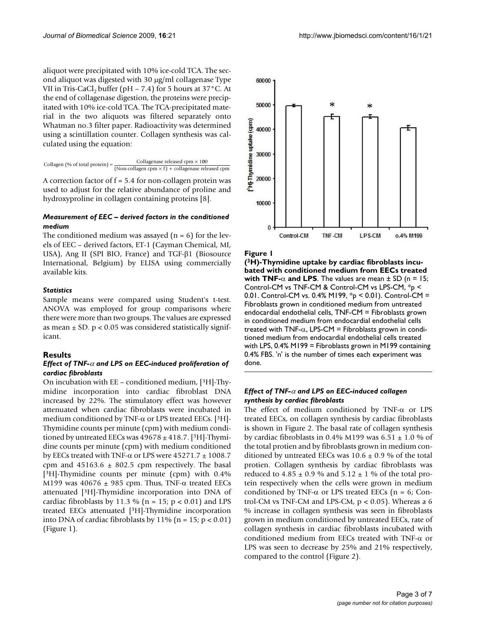aliquot were precipitated with 10% ice-cold TCA. The second aliquot was digested with 30 μg/ml collagenase Type VII in Tris-CaCl<sub>2</sub> buffer (pH – 7.4) for 5 hours at  $37^{\circ}$ C. At the end of collagenase digestion, the proteins were precipitated with 10% ice-cold TCA. The TCA-precipitated material in the two aliquots was filtered separately onto Whatman no.3 filter paper. Radioactivity was determined using a scintillation counter. Collagen synthesis was calculated using the equation:

Collagen (%) of total protein) = 
$$
\frac{\text{Collagenase released cpm} \times 100}{(\text{Non-collagen cpm} \times f) + \text{collagenase released cpm}}
$$

A correction factor of  $f = 5.4$  for non-collagen protein was used to adjust for the relative abundance of proline and hydroxyproline in collagen containing proteins [8].

#### *Measurement of EEC – derived factors in the conditioned medium*

The conditioned medium was assayed  $(n = 6)$  for the levels of EEC – derived factors, ET-1 (Cayman Chemical, MI, USA), Ang II (SPI BIO, France) and TGF-β1 (Biosource International, Belgium) by ELISA using commercially available kits.

#### *Statistics*

Sample means were compared using Student's t-test. ANOVA was employed for group comparisons where there were more than two groups. The values are expressed as mean  $\pm$  SD. p < 0.05 was considered statistically significant.

#### **Results**

#### *Effect of TNF-*α *and LPS on EEC-induced proliferation of cardiac fibroblasts*

On incubation with EE – conditioned medium, [3H]-Thymidine incorporation into cardiac fibroblast DNA increased by 22%. The stimulatory effect was however attenuated when cardiac fibroblasts were incubated in medium conditioned by TNF- $\alpha$  or LPS treated EECs. [3H]-Thymidine counts per minute (cpm) with medium conditioned by untreated EECs was  $49678 \pm 418.7$ . [<sup>3</sup>H]-Thymidine counts per minute (cpm) with medium conditioned by EECs treated with TNF- $\alpha$  or LPS were 45271.7  $\pm$  1008.7 cpm and  $45163.6 \pm 802.5$  cpm respectively. The basal [3H]-Thymidine counts per minute (cpm) with 0.4% M199 was  $40676 \pm 985$  cpm. Thus, TNF- $\alpha$  treated EECs attenuated [3H]-Thymidine incorporation into DNA of cardiac fibroblasts by 11.3 % ( $n = 15$ ;  $p < 0.01$ ) and LPS treated EECs attenuated [3H]-Thymidine incorporation into DNA of cardiac fibroblasts by  $11\%$  (n = 15; p < 0.01) (Figure 1).



#### Figure 1

**(3H)-Thymidine uptake by cardiac fibroblasts incubated with conditioned medium from EECs treated with TNF-** $\alpha$  **and LPS**. The values are mean  $\pm$  SD (n = 15; Control-CM vs TNF-CM & Control-CM vs LPS-CM, \*p < 0.01. Control-CM vs. 0.4% M199, \*p < 0.01). Control-CM = Fibroblasts grown in conditioned medium from untreated endocardial endothelial cells, TNF-CM = Fibroblasts grown in conditioned medium from endocardial endothelial cells treated with TNF- $\alpha$ , LPS-CM = Fibroblasts grown in conditioned medium from endocardial endothelial cells treated with LPS, 0.4% M199 = Fibroblasts grown in M199 containing 0.4% FBS. 'n' is the number of times each experiment was done.

#### *Effect of TNF-*α *and LPS on EEC-induced collagen synthesis by cardiac fibroblasts*

The effect of medium conditioned by TNF-α or LPS treated EECs, on collagen synthesis by cardiac fibroblasts is shown in Figure 2. The basal rate of collagen synthesis by cardiac fibroblasts in 0.4% M199 was  $6.51 \pm 1.0$  % of the total protien and by fibroblasts grown in medium conditioned by untreated EECs was  $10.6 \pm 0.9$  % of the total protien. Collagen synthesis by cardiac fibroblasts was reduced to  $4.85 \pm 0.9$  % and  $5.12 \pm 1$  % of the total protein respectively when the cells were grown in medium conditioned by TNF- $\alpha$  or LPS treated EECs (n = 6; Control-CM vs TNF-CM and LPS-CM,  $p < 0.05$ ). Whereas a 6 % increase in collagen synthesis was seen in fibroblasts grown in medium conditioned by untreated EECs, rate of collagen synthesis in cardiac fibroblasts incubated with conditioned medium from EECs treated with TNF-α or LPS was seen to decrease by 25% and 21% respectively, compared to the control (Figure 2).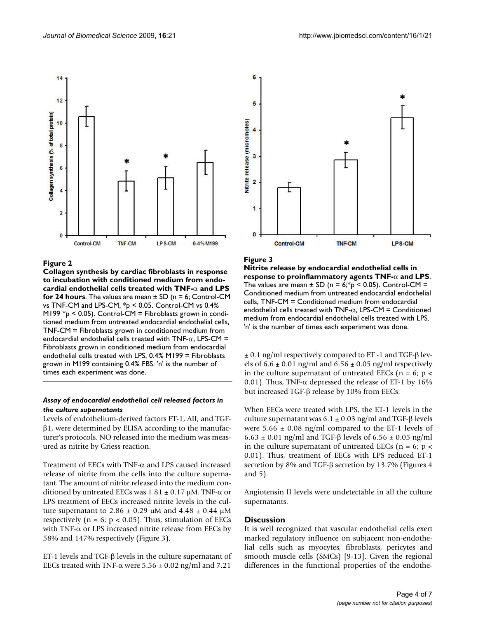

#### **Figure 2**

**Collagen synthesis by cardiac fibroblasts in response to incubation with conditioned medium from endocardial endothelial cells treated with TNF-**α **and LPS for 24 hours**. The values are mean  $\pm$  SD (n = 6; Control-CM vs TNF-CM and LPS-CM, \*p < 0.05. Control-CM vs 0.4% M199  $*_p$  < 0.05). Control-CM = Fibroblasts grown in conditioned medium from untreated endocardial endothelial cells, TNF-CM = Fibroblasts grown in conditioned medium from endocardial endothelial cells treated with TNF- $\alpha$ , LPS-CM = Fibroblasts grown in conditioned medium from endocardial endothelial cells treated with LPS, 0.4% M199 = Fibroblasts grown in M199 containing 0.4% FBS. 'n' is the number of times each experiment was done.

#### *Assay of endocardial endothelial cell released factors in the culture supernatants*

Levels of endothelium-derived factors ET-1, AII, and TGFβ1, were determined by ELISA according to the manufacturer's protocols. NO released into the medium was measured as nitrite by Griess reaction.

Treatment of EECs with TNF-α and LPS caused increased release of nitrite from the cells into the culture supernatant. The amount of nitrite released into the medium conditioned by untreated EECs was  $1.81 \pm 0.17$  μM. TNF- $\alpha$  or LPS treatment of EECs increased nitrite levels in the culture supernatant to 2.86  $\pm$  0.29 μM and 4.48  $\pm$  0.44 μM respectively ( $n = 6$ ;  $p < 0.05$ ). Thus, stimulation of EECs with TNF- $\alpha$  or LPS increased nitrite release from EECs by 58% and 147% respectively (Figure 3).

ET-1 levels and TGF-β levels in the culture supernatant of EECs treated with TNF-α were  $5.56 \pm 0.02$  ng/ml and 7.21



#### Figure 3

**Nitrite release by endocardial endothelial cells in response to proinflammatory agents TNF-**α **and LPS**. The values are mean  $\pm$  SD (n = 6;\*p < 0.05). Control-CM = Conditioned medium from untreated endocardial endothelial cells, TNF-CM = Conditioned medium from endocardial endothelial cells treated with TNF- $\alpha$ , LPS-CM = Conditioned medium from endocardial endothelial cells treated with LPS. 'n' is the number of times each experiment was done.

 $\pm$  0.1 ng/ml respectively compared to ET -1 and TGF- $\beta$  levels of  $6.6 \pm 0.01$  ng/ml and  $6.56 \pm 0.05$  ng/ml respectively in the culture supernatant of untreated EECs ( $n = 6$ ;  $p <$ 0.01). Thus, TNF- $\alpha$  depressed the release of ET-1 by 16% but increased TGF-β release by 10% from EECs.

When EECs were treated with LPS, the ET-1 levels in the culture supernatant was  $6.1 \pm 0.03$  ng/ml and TGF- $\beta$  levels were  $5.66 \pm 0.08$  ng/ml compared to the ET-1 levels of  $6.63 \pm 0.01$  ng/ml and TGF- $\beta$  levels of  $6.56 \pm 0.05$  ng/ml in the culture supernatant of untreated EECs ( $n = 6$ ;  $p <$ 0.01). Thus, treatment of EECs with LPS reduced ET-1 secretion by 8% and TGF-β secretion by 13.7% (Figures 4 and 5).

Angiotensin II levels were undetectable in all the culture supernatants.

#### **Discussion**

It is well recognized that vascular endothelial cells exert marked regulatory influence on subjacent non-endothelial cells such as myocytes, fibroblasts, pericytes and smooth muscle cells (SMCs) [9-13]. Given the regional differences in the functional properties of the endothe-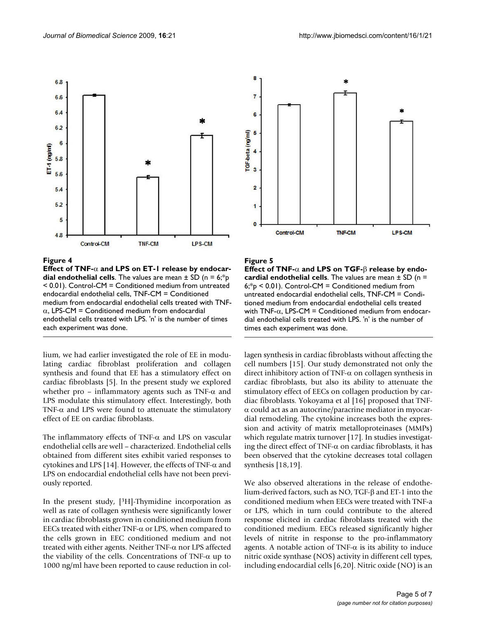

Figure 4

**Effect of TNF-**α **and LPS on ET-1 release by endocardial endothelial cells**. The values are mean  $\pm$  SD (n = 6;\*p < 0.01). Control-CM = Conditioned medium from untreated endocardial endothelial cells, TNF-CM = Conditioned medium from endocardial endothelial cells treated with TNF- $\alpha$ , LPS-CM = Conditioned medium from endocardial endothelial cells treated with LPS. 'n' is the number of times each experiment was done.

lium, we had earlier investigated the role of EE in modulating cardiac fibroblast proliferation and collagen synthesis and found that EE has a stimulatory effect on cardiac fibroblasts [5]. In the present study we explored whether pro – inflammatory agents such as TNF- $\alpha$  and LPS modulate this stimulatory effect. Interestingly, both TNF- $\alpha$  and LPS were found to attenuate the stimulatory effect of EE on cardiac fibroblasts.

The inflammatory effects of TNF-α and LPS on vascular endothelial cells are well – characterized. Endothelial cells obtained from different sites exhibit varied responses to cytokines and LPS [14]. However, the effects of TNF- $\alpha$  and LPS on endocardial endothelial cells have not been previously reported.

In the present study, [<sup>3</sup>H]-Thymidine incorporation as well as rate of collagen synthesis were significantly lower in cardiac fibroblasts grown in conditioned medium from EECs treated with either TNF-α or LPS, when compared to the cells grown in EEC conditioned medium and not treated with either agents. Neither TNF-α nor LPS affected the viability of the cells. Concentrations of TNF- $\alpha$  up to 1000 ng/ml have been reported to cause reduction in col-



#### Figure 5

**Effect of TNF-**α **and LPS on TGF-**β **release by endocardial endothelial cells**. The values are mean ± SD (n =  $6; p \leq 0.01$ ). Control-CM = Conditioned medium from untreated endocardial endothelial cells, TNF-CM = Conditioned medium from endocardial endothelial cells treated with TNF- $\alpha$ , LPS-CM = Conditioned medium from endocardial endothelial cells treated with LPS. 'n' is the number of times each experiment was done.

lagen synthesis in cardiac fibroblasts without affecting the cell numbers [15]. Our study demonstrated not only the direct inhibitory action of TNF-α on collagen synthesis in cardiac fibroblasts, but also its ability to attenuate the stimulatory effect of EECs on collagen production by cardiac fibroblasts. Yokoyama et al [16] proposed that TNFα could act as an autocrine/paracrine mediator in myocardial remodeling. The cytokine increases both the expression and activity of matrix metalloproteinases (MMPs) which regulate matrix turnover [17]. In studies investigating the direct effect of TNF- $\alpha$  on cardiac fibroblasts, it has been observed that the cytokine decreases total collagen synthesis [18,19].

We also observed alterations in the release of endothelium-derived factors, such as NO, TGF-β and ET-1 into the conditioned medium when EECs were treated with TNF-a or LPS, which in turn could contribute to the altered response elicited in cardiac fibroblasts treated with the conditioned medium. EECs released significantly higher levels of nitrite in response to the pro-inflammatory agents. A notable action of TNF- $\alpha$  is its ability to induce nitric oxide synthase (NOS) activity in different cell types, including endocardial cells [6,20]. Nitric oxide (NO) is an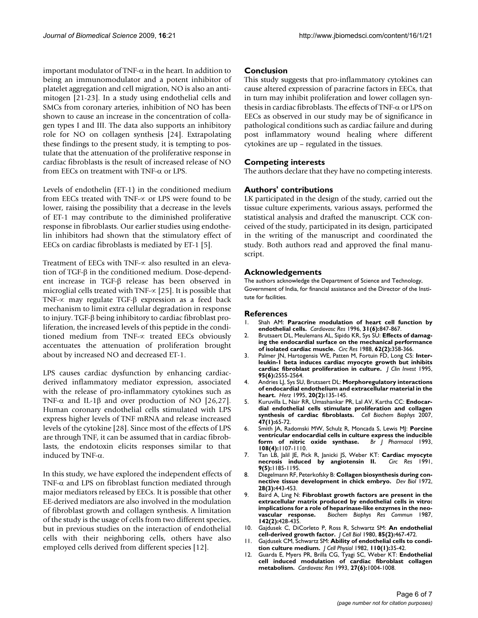important modulator of TNF- $\alpha$  in the heart. In addition to being an immunomodulator and a potent inhibitor of platelet aggregation and cell migration, NO is also an antimitogen [21-23]. In a study using endothelial cells and SMCs from coronary arteries, inhibition of NO has been shown to cause an increase in the concentration of collagen types I and III. The data also supports an inhibitory role for NO on collagen synthesis [24]. Extrapolating these findings to the present study, it is tempting to postulate that the attenuation of the proliferative response in cardiac fibroblasts is the result of increased release of NO from EECs on treatment with TNF-α or LPS.

Levels of endothelin (ET-1) in the conditioned medium from EECs treated with TNF-∝ or LPS were found to be lower, raising the possibility that a decrease in the levels of ET-1 may contribute to the diminished proliferative response in fibroblasts. Our earlier studies using endothelin inhibitors had shown that the stimulatory effect of EECs on cardiac fibroblasts is mediated by ET-1 [5].

Treatment of EECs with TNF-∞ also resulted in an elevation of TGF-β in the conditioned medium. Dose-dependent increase in TGF-β release has been observed in microglial cells treated with TNF-∝ [25]. It is possible that TNF-∝ may regulate TGF-β expression as a feed back mechanism to limit extra cellular degradation in response to injury. TGF-β being inhibitory to cardiac fibroblast proliferation, the increased levels of this peptide in the conditioned medium from TNF-∝ treated EECs obviously accentuates the attenuation of proliferation brought about by increased NO and decreased ET-1.

LPS causes cardiac dysfunction by enhancing cardiacderived inflammatory mediator expression, associated with the release of pro-inflammatory cytokines such as TNF- $\alpha$  and IL-1 $\beta$  and over production of NO [26,27]. Human coronary endothelial cells stimulated with LPS express higher levels of TNF mRNA and release increased levels of the cytokine [28]. Since most of the effects of LPS are through TNF, it can be assumed that in cardiac fibroblasts, the endotoxin elicits responses similar to that induced by TNF- $\alpha$ .

In this study, we have explored the independent effects of TNF- $\alpha$  and LPS on fibroblast function mediated through major mediators released by EECs. It is possible that other EE-derived mediators are also involved in the modulation of fibroblast growth and collagen synthesis. A limitation of the study is the usage of cells from two different species, but in previous studies on the interaction of endothelial cells with their neighboring cells, others have also employed cells derived from different species [12].

#### **Conclusion**

This study suggests that pro-inflammatory cytokines can cause altered expression of paracrine factors in EECs, that in turn may inhibit proliferation and lower collagen synthesis in cardiac fibroblasts. The effects of TNF-α or LPS on EECs as observed in our study may be of significance in pathological conditions such as cardiac failure and during post inflammatory wound healing where different cytokines are up – regulated in the tissues.

#### **Competing interests**

The authors declare that they have no competing interests.

#### **Authors' contributions**

LK participated in the design of the study, carried out the tissue culture experiments, various assays, performed the statistical analysis and drafted the manuscript. CCK conceived of the study, participated in its design, participated in the writing of the manuscript and coordinated the study. Both authors read and approved the final manuscript.

#### **Acknowledgements**

The authors acknowledge the Department of Science and Technology, Government of India, for financial assistance and the Director of the Institute for facilities.

#### **References**

- 1. Shah AM: **[Paracrine modulation of heart cell function by](http://www.ncbi.nlm.nih.gov/entrez/query.fcgi?cmd=Retrieve&db=PubMed&dopt=Abstract&list_uids=8759239) [endothelial cells.](http://www.ncbi.nlm.nih.gov/entrez/query.fcgi?cmd=Retrieve&db=PubMed&dopt=Abstract&list_uids=8759239)** *Cardiovasc Res* 1996, **31(6):**847-867.
- 2. Brutsaert DL, Meulemans AL, Sipido KR, Sys SU: **[Effects of damag](http://www.ncbi.nlm.nih.gov/entrez/query.fcgi?cmd=Retrieve&db=PubMed&dopt=Abstract&list_uids=3338120)[ing the endocardial surface on the mechanical performance](http://www.ncbi.nlm.nih.gov/entrez/query.fcgi?cmd=Retrieve&db=PubMed&dopt=Abstract&list_uids=3338120) [of isolated cardiac muscle.](http://www.ncbi.nlm.nih.gov/entrez/query.fcgi?cmd=Retrieve&db=PubMed&dopt=Abstract&list_uids=3338120)** *Circ Res* 1988, **62(2):**358-366.
- 3. Palmer JN, Hartogensis WE, Patten M, Fortuin FD, Long CS: **[Inter](http://www.ncbi.nlm.nih.gov/entrez/query.fcgi?cmd=Retrieve&db=PubMed&dopt=Abstract&list_uids=7769098)[leukin-1 beta induces cardiac myocyte growth but inhibits](http://www.ncbi.nlm.nih.gov/entrez/query.fcgi?cmd=Retrieve&db=PubMed&dopt=Abstract&list_uids=7769098) [cardiac fibroblast proliferation in culture.](http://www.ncbi.nlm.nih.gov/entrez/query.fcgi?cmd=Retrieve&db=PubMed&dopt=Abstract&list_uids=7769098)** *J Clin Invest* 1995, **95(6):**2555-2564.
- 4. Andries LJ, Sys SU, Brutsaert DL: **[Morphoregulatory interactions](http://www.ncbi.nlm.nih.gov/entrez/query.fcgi?cmd=Retrieve&db=PubMed&dopt=Abstract&list_uids=7774865) [of endocardial endothelium and extracellular material in the](http://www.ncbi.nlm.nih.gov/entrez/query.fcgi?cmd=Retrieve&db=PubMed&dopt=Abstract&list_uids=7774865) [heart.](http://www.ncbi.nlm.nih.gov/entrez/query.fcgi?cmd=Retrieve&db=PubMed&dopt=Abstract&list_uids=7774865)** *Herz* 1995, **20(2):**135-145.
- 5. Kuruvilla L, Nair RR, Umashankar PR, Lal AV, Kartha CC: **[Endocar](http://www.ncbi.nlm.nih.gov/entrez/query.fcgi?cmd=Retrieve&db=PubMed&dopt=Abstract&list_uids=17406060)[dial endothelial cells stimulate proliferation and collagen](http://www.ncbi.nlm.nih.gov/entrez/query.fcgi?cmd=Retrieve&db=PubMed&dopt=Abstract&list_uids=17406060) [synthesis of cardiac fibroblasts.](http://www.ncbi.nlm.nih.gov/entrez/query.fcgi?cmd=Retrieve&db=PubMed&dopt=Abstract&list_uids=17406060)** *Cell Biochem Biophys* 2007, **47(1):**65-72.
- 6. Smith JA, Radomski MW, Schulz R, Moncada S, Lewis MJ: **[Porcine](http://www.ncbi.nlm.nih.gov/entrez/query.fcgi?cmd=Retrieve&db=PubMed&dopt=Abstract&list_uids=7683563) [ventricular endocardial cells in culture express the inducible](http://www.ncbi.nlm.nih.gov/entrez/query.fcgi?cmd=Retrieve&db=PubMed&dopt=Abstract&list_uids=7683563)** [form of nitric oxide synthase.](http://www.ncbi.nlm.nih.gov/entrez/query.fcgi?cmd=Retrieve&db=PubMed&dopt=Abstract&list_uids=7683563) **108(4):**1107-1110.
- 7. Tan LB, Jalil JE, Pick R, Janicki JS, Weber KT: **[Cardiac myocyte](http://www.ncbi.nlm.nih.gov/entrez/query.fcgi?cmd=Retrieve&db=PubMed&dopt=Abstract&list_uids=1834362)** [necrosis induced by angiotensin II.](http://www.ncbi.nlm.nih.gov/entrez/query.fcgi?cmd=Retrieve&db=PubMed&dopt=Abstract&list_uids=1834362) **9(5):**1185-1195.
- 8. Diegelmann RF, Peterkofsky B: **[Collagen biosynthesis during con](http://www.ncbi.nlm.nih.gov/entrez/query.fcgi?cmd=Retrieve&db=PubMed&dopt=Abstract&list_uids=4339519)[nective tissue development in chick embryo.](http://www.ncbi.nlm.nih.gov/entrez/query.fcgi?cmd=Retrieve&db=PubMed&dopt=Abstract&list_uids=4339519)** *Dev Biol* 1972, **28(3):**443-453.
- 9. Baird A, Ling N: **[Fibroblast growth factors are present in the](http://www.ncbi.nlm.nih.gov/entrez/query.fcgi?cmd=Retrieve&db=PubMed&dopt=Abstract&list_uids=2434094) extracellular matrix produced by endothelial cells in vitro: implications for a role of heparinase-like enzymes in the neo-<br>vascular response.** Biochem Biophys Res Commun 1987, **[vascular response.](http://www.ncbi.nlm.nih.gov/entrez/query.fcgi?cmd=Retrieve&db=PubMed&dopt=Abstract&list_uids=2434094)** *Biochem Biophys Res Commun* 1987, **142(2):**428-435.
- 10. Gajdusek C, DiCorleto P, Ross R, Schwartz SM: **[An endothelial](http://www.ncbi.nlm.nih.gov/entrez/query.fcgi?cmd=Retrieve&db=PubMed&dopt=Abstract&list_uids=7372716) [cell-derived growth factor.](http://www.ncbi.nlm.nih.gov/entrez/query.fcgi?cmd=Retrieve&db=PubMed&dopt=Abstract&list_uids=7372716)** *J Cell Biol* 1980, **85(2):**467-472.
- 11. Gajdusek CM, Schwartz SM: **[Ability of endothelial cells to condi](http://www.ncbi.nlm.nih.gov/entrez/query.fcgi?cmd=Retrieve&db=PubMed&dopt=Abstract&list_uids=7068765)[tion culture medium.](http://www.ncbi.nlm.nih.gov/entrez/query.fcgi?cmd=Retrieve&db=PubMed&dopt=Abstract&list_uids=7068765)** *J Cell Physiol* 1982, **110(1):**35-42.
- 12. Guarda E, Myers PR, Brilla CG, Tyagi SC, Weber KT: **[Endothelial](http://www.ncbi.nlm.nih.gov/entrez/query.fcgi?cmd=Retrieve&db=PubMed&dopt=Abstract&list_uids=8221756) [cell induced modulation of cardiac fibroblast collagen](http://www.ncbi.nlm.nih.gov/entrez/query.fcgi?cmd=Retrieve&db=PubMed&dopt=Abstract&list_uids=8221756) [metabolism.](http://www.ncbi.nlm.nih.gov/entrez/query.fcgi?cmd=Retrieve&db=PubMed&dopt=Abstract&list_uids=8221756)** *Cardiovasc Res* 1993, **27(6):**1004-1008.